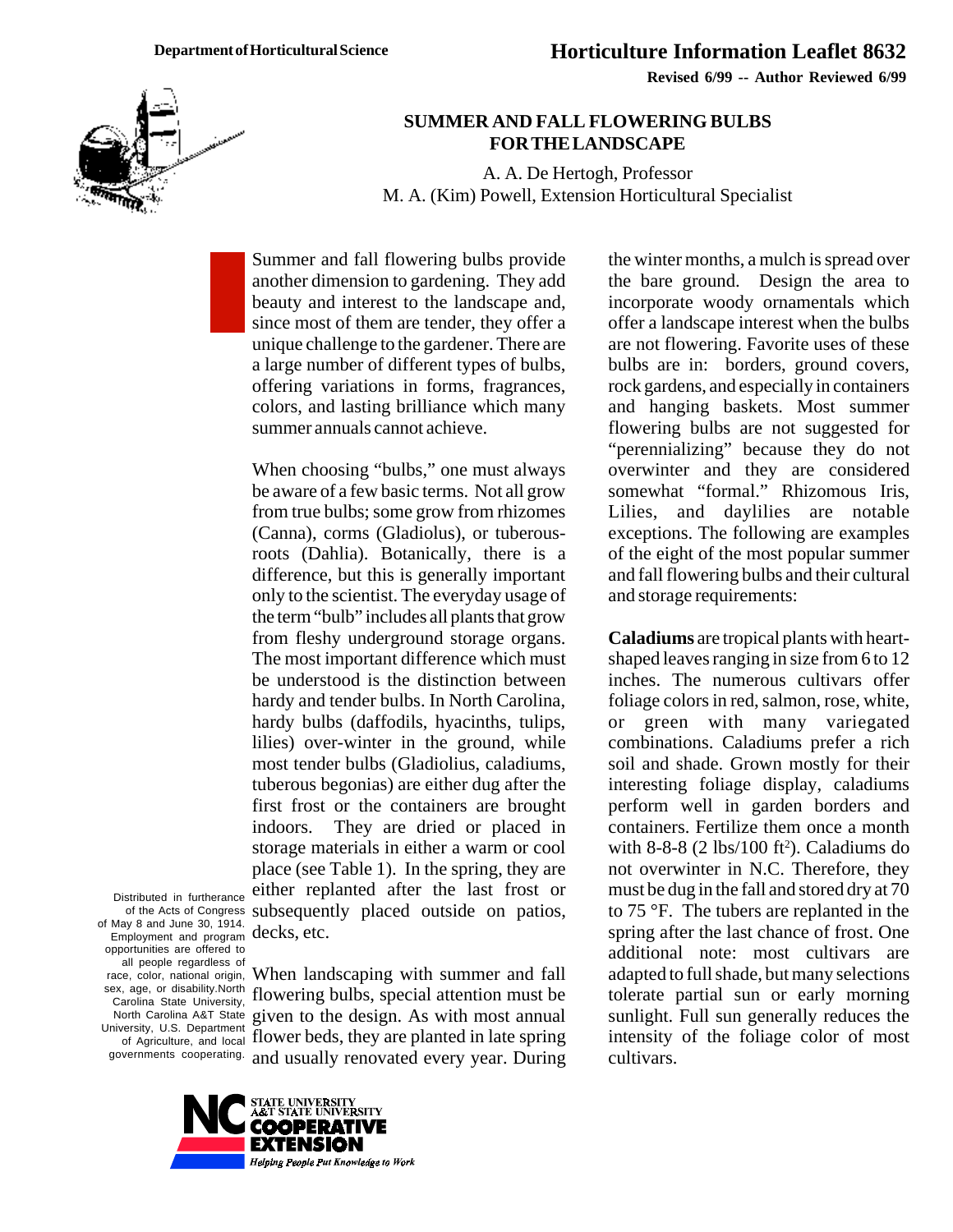

**Revised 6/99 -- Author Reviewed 6/99**

## **SUMMER AND FALL FLOWERING BULBS FOR THE LANDSCAPE**

A. A. De Hertogh, Professor M. A. (Kim) Powell, Extension Horticultural Specialist

Summer and fall flowering bulbs provide another dimension to gardening. They add beauty and interest to the landscape and, since most of them are tender, they offer a unique challenge to the gardener. There are a large number of different types of bulbs, offering variations in forms, fragrances, colors, and lasting brilliance which many summer annuals cannot achieve.

of the Acts of Congress subsequently placed outside on patios, When choosing "bulbs," one must always be aware of a few basic terms. Not all grow from true bulbs; some grow from rhizomes (Canna), corms (Gladiolus), or tuberousroots (Dahlia). Botanically, there is a difference, but this is generally important only to the scientist. The everyday usage of the term "bulb" includes all plants that grow from fleshy underground storage organs. The most important difference which must be understood is the distinction between hardy and tender bulbs. In North Carolina, hardy bulbs (daffodils, hyacinths, tulips, lilies) over-winter in the ground, while most tender bulbs (Gladiolius, caladiums, tuberous begonias) are either dug after the first frost or the containers are brought indoors. They are dried or placed in storage materials in either a warm or cool place (see Table 1). In the spring, they are either replanted after the last frost or decks, etc.

Distributed in furtherance of May 8 and June 30, 1914. Employment and program opportunities are offered to all people regardless of race, color, national origin, sex, age, or disability.North Carolina State University, North Carolina A&T State University, U.S. Department of Agriculture, and local

governments cooperating. and usually renovated every year. During When landscaping with summer and fall flowering bulbs, special attention must be given to the design. As with most annual flower beds, they are planted in late spring



the winter months, a mulch is spread over the bare ground. Design the area to incorporate woody ornamentals which offer a landscape interest when the bulbs are not flowering. Favorite uses of these bulbs are in: borders, ground covers, rock gardens, and especially in containers and hanging baskets. Most summer flowering bulbs are not suggested for "perennializing" because they do not overwinter and they are considered somewhat "formal." Rhizomous Iris, Lilies, and daylilies are notable exceptions. The following are examples of the eight of the most popular summer and fall flowering bulbs and their cultural and storage requirements:

**Caladiums** are tropical plants with heartshaped leaves ranging in size from 6 to 12 inches. The numerous cultivars offer foliage colors in red, salmon, rose, white, or green with many variegated combinations. Caladiums prefer a rich soil and shade. Grown mostly for their interesting foliage display, caladiums perform well in garden borders and containers. Fertilize them once a month with  $8-8-8$  (2 lbs/100 ft<sup>2</sup>). Caladiums do not overwinter in N.C. Therefore, they must be dug in the fall and stored dry at 70 to 75 °F. The tubers are replanted in the spring after the last chance of frost. One additional note: most cultivars are adapted to full shade, but many selections tolerate partial sun or early morning sunlight. Full sun generally reduces the intensity of the foliage color of most cultivars.

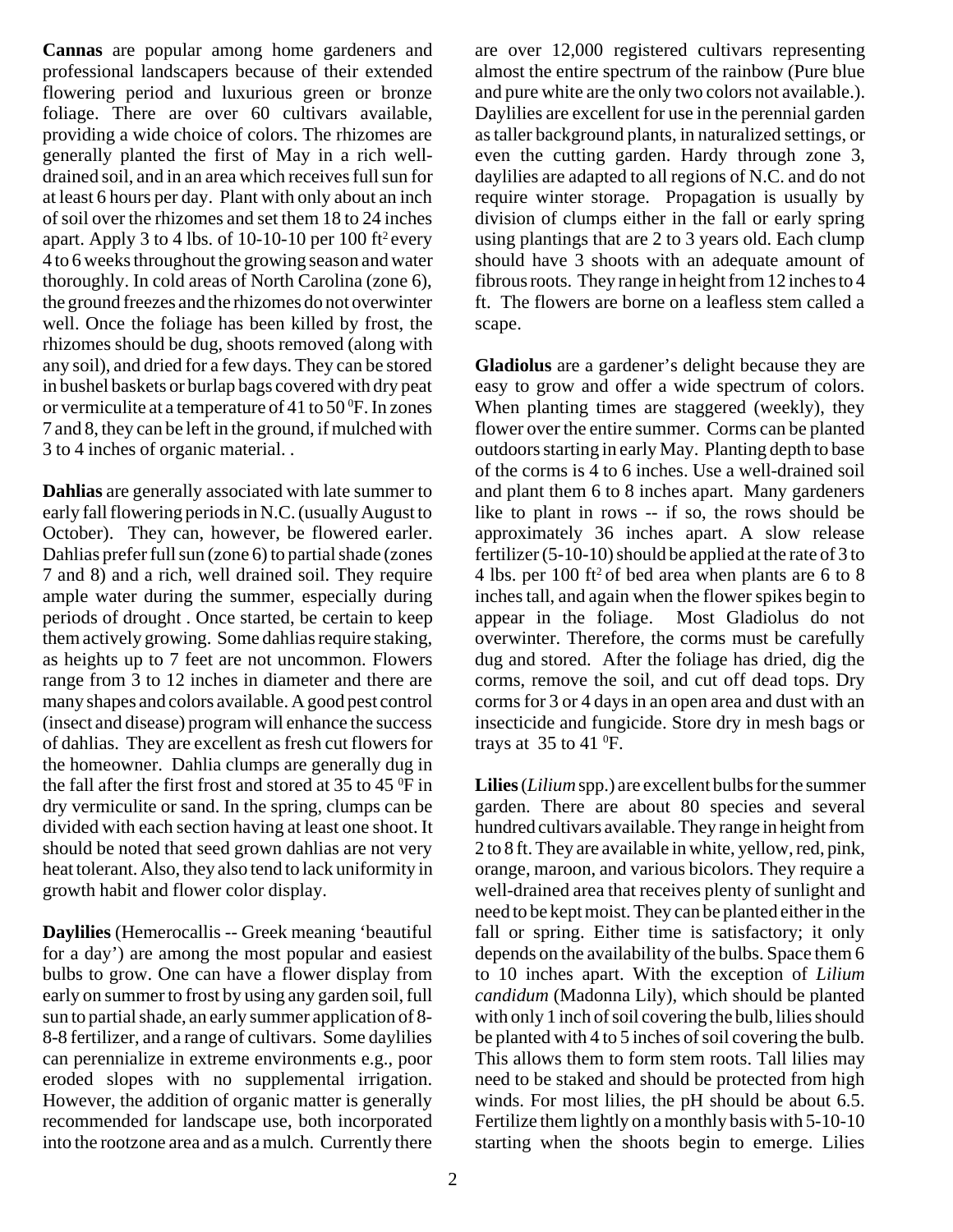**Cannas** are popular among home gardeners and professional landscapers because of their extended flowering period and luxurious green or bronze foliage. There are over 60 cultivars available, providing a wide choice of colors. The rhizomes are generally planted the first of May in a rich welldrained soil, and in an area which receives full sun for at least 6 hours per day. Plant with only about an inch of soil over the rhizomes and set them 18 to 24 inches apart. Apply 3 to 4 lbs. of 10-10-10 per 100 ft<sup>2</sup> every 4 to 6 weeks throughout the growing season and water thoroughly. In cold areas of North Carolina (zone 6), the ground freezes and the rhizomes do not overwinter well. Once the foliage has been killed by frost, the rhizomes should be dug, shoots removed (along with any soil), and dried for a few days. They can be stored in bushel baskets or burlap bags covered with dry peat or vermiculite at a temperature of 41 to  $50^{\circ}$ F. In zones 7 and 8, they can be left in the ground, if mulched with 3 to 4 inches of organic material. .

**Dahlias** are generally associated with late summer to early fall flowering periods in N.C. (usually August to October). They can, however, be flowered earler. Dahlias prefer full sun (zone 6) to partial shade (zones 7 and 8) and a rich, well drained soil. They require ample water during the summer, especially during periods of drought . Once started, be certain to keep them actively growing. Some dahlias require staking, as heights up to 7 feet are not uncommon. Flowers range from 3 to 12 inches in diameter and there are many shapes and colors available. A good pest control (insect and disease) program will enhance the success of dahlias. They are excellent as fresh cut flowers for the homeowner. Dahlia clumps are generally dug in the fall after the first frost and stored at 35 to 45 $\mathrm{^{0}F}$  in dry vermiculite or sand. In the spring, clumps can be divided with each section having at least one shoot. It should be noted that seed grown dahlias are not very heat tolerant. Also, they also tend to lack uniformity in growth habit and flower color display.

**Daylilies** (Hemerocallis -- Greek meaning 'beautiful for a day') are among the most popular and easiest bulbs to grow. One can have a flower display from early on summer to frost by using any garden soil, full sun to partial shade, an early summer application of 8- 8-8 fertilizer, and a range of cultivars. Some daylilies can perennialize in extreme environments e.g., poor eroded slopes with no supplemental irrigation. However, the addition of organic matter is generally recommended for landscape use, both incorporated into the rootzone area and as a mulch. Currently there are over 12,000 registered cultivars representing almost the entire spectrum of the rainbow (Pure blue and pure white are the only two colors not available.). Daylilies are excellent for use in the perennial garden as taller background plants, in naturalized settings, or even the cutting garden. Hardy through zone 3, daylilies are adapted to all regions of N.C. and do not require winter storage. Propagation is usually by division of clumps either in the fall or early spring using plantings that are 2 to 3 years old. Each clump should have 3 shoots with an adequate amount of fibrous roots. They range in height from 12 inches to 4 ft. The flowers are borne on a leafless stem called a scape.

**Gladiolus** are a gardener's delight because they are easy to grow and offer a wide spectrum of colors. When planting times are staggered (weekly), they flower over the entire summer. Corms can be planted outdoors starting in early May. Planting depth to base of the corms is 4 to 6 inches. Use a well-drained soil and plant them 6 to 8 inches apart. Many gardeners like to plant in rows -- if so, the rows should be approximately 36 inches apart. A slow release fertilizer (5-10-10) should be applied at the rate of 3 to 4 lbs. per 100 ft<sup>2</sup> of bed area when plants are 6 to 8 inches tall, and again when the flower spikes begin to<br>appear in the foliage. Most Gladiolus do not Most Gladiolus do not overwinter. Therefore, the corms must be carefully dug and stored. After the foliage has dried, dig the corms, remove the soil, and cut off dead tops. Dry corms for 3 or 4 days in an open area and dust with an insecticide and fungicide. Store dry in mesh bags or trays at  $35$  to  $41$  <sup>o</sup>F.

**Lilies** (*Lilium* spp.) are excellent bulbs for the summer garden. There are about 80 species and several hundred cultivars available. They range in height from 2 to 8 ft. They are available in white, yellow, red, pink, orange, maroon, and various bicolors. They require a well-drained area that receives plenty of sunlight and need to be kept moist. They can be planted either in the fall or spring. Either time is satisfactory; it only depends on the availability of the bulbs. Space them 6 to 10 inches apart. With the exception of *Lilium candidum* (Madonna Lily), which should be planted with only 1 inch of soil covering the bulb, lilies should be planted with 4 to 5 inches of soil covering the bulb. This allows them to form stem roots. Tall lilies may need to be staked and should be protected from high winds. For most lilies, the pH should be about 6.5. Fertilize them lightly on a monthly basis with 5-10-10 starting when the shoots begin to emerge. Lilies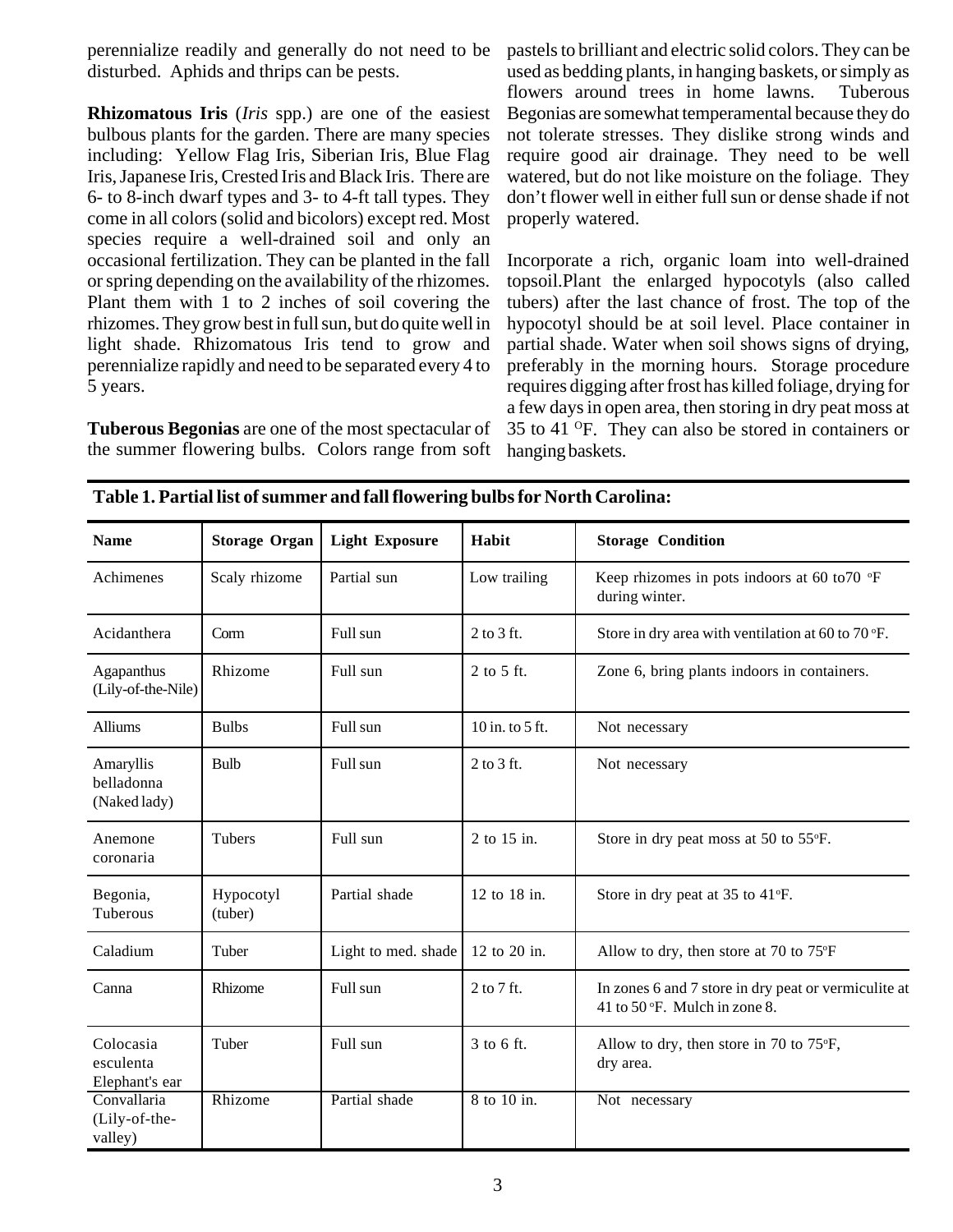perennialize readily and generally do not need to be disturbed. Aphids and thrips can be pests.

**Rhizomatous Iris** (*Iris* spp.) are one of the easiest bulbous plants for the garden. There are many species including: Yellow Flag Iris, Siberian Iris, Blue Flag Iris, Japanese Iris, Crested Iris and Black Iris. There are 6- to 8-inch dwarf types and 3- to 4-ft tall types. They come in all colors (solid and bicolors) except red. Most species require a well-drained soil and only an occasional fertilization. They can be planted in the fall or spring depending on the availability of the rhizomes. Plant them with 1 to 2 inches of soil covering the rhizomes. They grow best in full sun, but do quite well in light shade. Rhizomatous Iris tend to grow and perennialize rapidly and need to be separated every 4 to 5 years.

**Tuberous Begonias** are one of the most spectacular of the summer flowering bulbs. Colors range from soft pastels to brilliant and electric solid colors. They can be used as bedding plants, in hanging baskets, or simply as flowers around trees in home lawns. Tuberous Begonias are somewhat temperamental because they do not tolerate stresses. They dislike strong winds and require good air drainage. They need to be well watered, but do not like moisture on the foliage. They don't flower well in either full sun or dense shade if not properly watered.

Incorporate a rich, organic loam into well-drained topsoil.Plant the enlarged hypocotyls (also called tubers) after the last chance of frost. The top of the hypocotyl should be at soil level. Place container in partial shade. Water when soil shows signs of drying, preferably in the morning hours. Storage procedure requires digging after frost has killed foliage, drying for a few days in open area, then storing in dry peat moss at 35 to 41 OF. They can also be stored in containers or hanging baskets.

| <b>Name</b>                              | <b>Storage Organ</b> | <b>Light Exposure</b> | Habit           | <b>Storage Condition</b>                                                              |  |
|------------------------------------------|----------------------|-----------------------|-----------------|---------------------------------------------------------------------------------------|--|
| Achimenes                                | Scaly rhizome        | Partial sun           | Low trailing    | Keep rhizomes in pots indoors at 60 to 70 $\mathrm{P}$ F<br>during winter.            |  |
| Acidanthera                              | Corm                 | Full sun              | $2$ to $3$ ft.  | Store in dry area with ventilation at 60 to 70 °F.                                    |  |
| Agapanthus<br>(Lily-of-the-Nile)         | Rhizome              | Full sun              | 2 to 5 ft.      | Zone 6, bring plants indoors in containers.                                           |  |
| Alliums                                  | <b>Bulbs</b>         | Full sun              | 10 in. to 5 ft. | Not necessary                                                                         |  |
| Amaryllis<br>belladonna<br>(Naked lady)  | <b>Bulb</b>          | Full sun              | $2$ to $3$ ft.  | Not necessary                                                                         |  |
| Anemone<br>coronaria                     | <b>Tubers</b>        | Full sun              | 2 to 15 in.     | Store in dry peat moss at 50 to 55°F.                                                 |  |
| Begonia,<br>Tuberous                     | Hypocotyl<br>(tuber) | Partial shade         | 12 to 18 in.    | Store in dry peat at 35 to 41°F.                                                      |  |
| Caladium                                 | Tuber                | Light to med. shade   | 12 to 20 in.    | Allow to dry, then store at 70 to 75°F                                                |  |
| Canna                                    | Rhizome              | Full sun              | 2 to 7 ft.      | In zones 6 and 7 store in dry peat or vermiculite at<br>41 to 50 °F. Mulch in zone 8. |  |
| Colocasia<br>esculenta<br>Elephant's ear | Tuber                | Full sun              | 3 to 6 ft.      | Allow to dry, then store in 70 to 75°F,<br>dry area.                                  |  |
| Convallaria<br>(Lily-of-the-<br>valley)  | Rhizome              | Partial shade         | 8 to 10 in.     | Not necessary                                                                         |  |

|  | Table 1. Partial list of summer and fall flowering bulbs for North Carolina: |  |  |
|--|------------------------------------------------------------------------------|--|--|
|  |                                                                              |  |  |